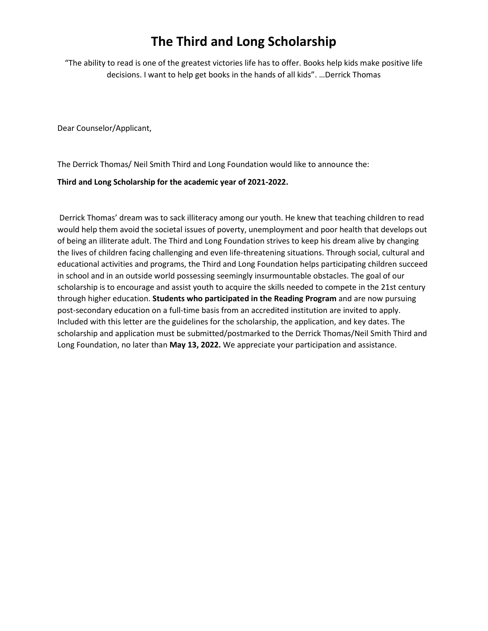## **The Third and Long Scholarship**

"The ability to read is one of the greatest victories life has to offer. Books help kids make positive life decisions. I want to help get books in the hands of all kids". …Derrick Thomas

Dear Counselor/Applicant,

The Derrick Thomas/ Neil Smith Third and Long Foundation would like to announce the:

## **Third and Long Scholarship for the academic year of 2021-2022.**

Derrick Thomas' dream was to sack illiteracy among our youth. He knew that teaching children to read would help them avoid the societal issues of poverty, unemployment and poor health that develops out of being an illiterate adult. The Third and Long Foundation strives to keep his dream alive by changing the lives of children facing challenging and even life-threatening situations. Through social, cultural and educational activities and programs, the Third and Long Foundation helps participating children succeed in school and in an outside world possessing seemingly insurmountable obstacles. The goal of our scholarship is to encourage and assist youth to acquire the skills needed to compete in the 21st century through higher education. **Students who participated in the Reading Program** and are now pursuing post-secondary education on a full-time basis from an accredited institution are invited to apply. Included with this letter are the guidelines for the scholarship, the application, and key dates. The scholarship and application must be submitted/postmarked to the Derrick Thomas/Neil Smith Third and Long Foundation, no later than **May 13, 2022.** We appreciate your participation and assistance.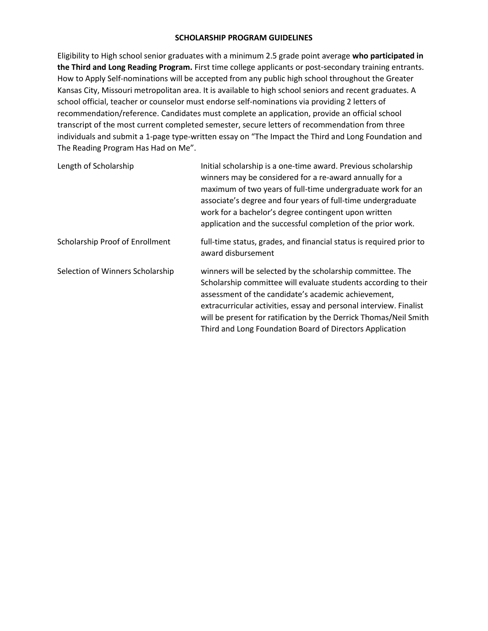## **SCHOLARSHIP PROGRAM GUIDELINES**

Eligibility to High school senior graduates with a minimum 2.5 grade point average **who participated in the Third and Long Reading Program.** First time college applicants or post-secondary training entrants. How to Apply Self-nominations will be accepted from any public high school throughout the Greater Kansas City, Missouri metropolitan area. It is available to high school seniors and recent graduates. A school official, teacher or counselor must endorse self-nominations via providing 2 letters of recommendation/reference. Candidates must complete an application, provide an official school transcript of the most current completed semester, secure letters of recommendation from three individuals and submit a 1-page type-written essay on "The Impact the Third and Long Foundation and The Reading Program Has Had on Me".

| Length of Scholarship            | Initial scholarship is a one-time award. Previous scholarship<br>winners may be considered for a re-award annually for a<br>maximum of two years of full-time undergraduate work for an<br>associate's degree and four years of full-time undergraduate<br>work for a bachelor's degree contingent upon written<br>application and the successful completion of the prior work.             |
|----------------------------------|---------------------------------------------------------------------------------------------------------------------------------------------------------------------------------------------------------------------------------------------------------------------------------------------------------------------------------------------------------------------------------------------|
| Scholarship Proof of Enrollment  | full-time status, grades, and financial status is required prior to<br>award disbursement                                                                                                                                                                                                                                                                                                   |
| Selection of Winners Scholarship | winners will be selected by the scholarship committee. The<br>Scholarship committee will evaluate students according to their<br>assessment of the candidate's academic achievement,<br>extracurricular activities, essay and personal interview. Finalist<br>will be present for ratification by the Derrick Thomas/Neil Smith<br>Third and Long Foundation Board of Directors Application |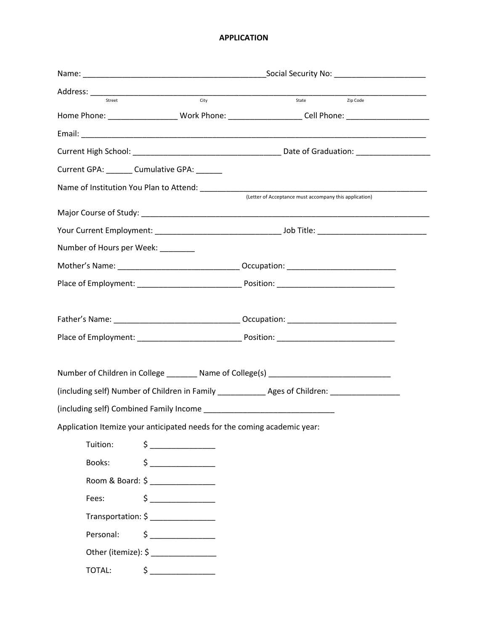## **APPLICATION**

|                                                                                                     | City                                                                                                                                                                                                                                                                                                                                                | State <b>Zip Code</b>                                                                                     |  |  |  |
|-----------------------------------------------------------------------------------------------------|-----------------------------------------------------------------------------------------------------------------------------------------------------------------------------------------------------------------------------------------------------------------------------------------------------------------------------------------------------|-----------------------------------------------------------------------------------------------------------|--|--|--|
|                                                                                                     |                                                                                                                                                                                                                                                                                                                                                     | Home Phone: _______________________Work Phone: ______________________Cell Phone: ________________________ |  |  |  |
|                                                                                                     |                                                                                                                                                                                                                                                                                                                                                     |                                                                                                           |  |  |  |
|                                                                                                     |                                                                                                                                                                                                                                                                                                                                                     |                                                                                                           |  |  |  |
|                                                                                                     | Current GPA: _______ Cumulative GPA: ______                                                                                                                                                                                                                                                                                                         |                                                                                                           |  |  |  |
|                                                                                                     |                                                                                                                                                                                                                                                                                                                                                     | (Letter of Acceptance must accompany this application)                                                    |  |  |  |
|                                                                                                     |                                                                                                                                                                                                                                                                                                                                                     |                                                                                                           |  |  |  |
|                                                                                                     |                                                                                                                                                                                                                                                                                                                                                     |                                                                                                           |  |  |  |
| Number of Hours per Week: _______                                                                   |                                                                                                                                                                                                                                                                                                                                                     |                                                                                                           |  |  |  |
|                                                                                                     |                                                                                                                                                                                                                                                                                                                                                     |                                                                                                           |  |  |  |
|                                                                                                     |                                                                                                                                                                                                                                                                                                                                                     |                                                                                                           |  |  |  |
|                                                                                                     |                                                                                                                                                                                                                                                                                                                                                     |                                                                                                           |  |  |  |
|                                                                                                     |                                                                                                                                                                                                                                                                                                                                                     |                                                                                                           |  |  |  |
|                                                                                                     |                                                                                                                                                                                                                                                                                                                                                     |                                                                                                           |  |  |  |
|                                                                                                     |                                                                                                                                                                                                                                                                                                                                                     |                                                                                                           |  |  |  |
|                                                                                                     |                                                                                                                                                                                                                                                                                                                                                     | Number of Children in College ________ Name of College(s) ______________________                          |  |  |  |
| (including self) Number of Children in Family ________________ Ages of Children: __________________ |                                                                                                                                                                                                                                                                                                                                                     |                                                                                                           |  |  |  |
|                                                                                                     |                                                                                                                                                                                                                                                                                                                                                     |                                                                                                           |  |  |  |
| Application Itemize your anticipated needs for the coming academic year:                            |                                                                                                                                                                                                                                                                                                                                                     |                                                                                                           |  |  |  |
| Tuition:                                                                                            | $\begin{array}{c}\n5 \qquad \qquad \\ \end{array}$                                                                                                                                                                                                                                                                                                  |                                                                                                           |  |  |  |
| Books:                                                                                              | $\begin{picture}(20,20) \put(0,0){\line(1,0){10}} \put(15,0){\line(1,0){10}} \put(15,0){\line(1,0){10}} \put(15,0){\line(1,0){10}} \put(15,0){\line(1,0){10}} \put(15,0){\line(1,0){10}} \put(15,0){\line(1,0){10}} \put(15,0){\line(1,0){10}} \put(15,0){\line(1,0){10}} \put(15,0){\line(1,0){10}} \put(15,0){\line(1,0){10}} \put(15,0){\line(1$ |                                                                                                           |  |  |  |
|                                                                                                     | Room & Board: \$ ________________                                                                                                                                                                                                                                                                                                                   |                                                                                                           |  |  |  |
| Fees:                                                                                               | $\begin{picture}(20,20) \put(0,0){\line(1,0){10}} \put(15,0){\line(1,0){10}} \put(15,0){\line(1,0){10}} \put(15,0){\line(1,0){10}} \put(15,0){\line(1,0){10}} \put(15,0){\line(1,0){10}} \put(15,0){\line(1,0){10}} \put(15,0){\line(1,0){10}} \put(15,0){\line(1,0){10}} \put(15,0){\line(1,0){10}} \put(15,0){\line(1,0){10}} \put(15,0){\line(1$ |                                                                                                           |  |  |  |
|                                                                                                     | Transportation: \$ ________________                                                                                                                                                                                                                                                                                                                 |                                                                                                           |  |  |  |
| Personal:                                                                                           | $\begin{picture}(20,20) \put(0,0){\line(1,0){10}} \put(15,0){\line(1,0){10}} \put(15,0){\line(1,0){10}} \put(15,0){\line(1,0){10}} \put(15,0){\line(1,0){10}} \put(15,0){\line(1,0){10}} \put(15,0){\line(1,0){10}} \put(15,0){\line(1,0){10}} \put(15,0){\line(1,0){10}} \put(15,0){\line(1,0){10}} \put(15,0){\line(1,0){10}} \put(15,0){\line(1$ |                                                                                                           |  |  |  |
|                                                                                                     | Other (itemize): \$                                                                                                                                                                                                                                                                                                                                 |                                                                                                           |  |  |  |
| TOTAL:                                                                                              | $\begin{picture}(20,10) \put(0,0){\line(1,0){10}} \put(15,0){\line(1,0){10}} \put(15,0){\line(1,0){10}} \put(15,0){\line(1,0){10}} \put(15,0){\line(1,0){10}} \put(15,0){\line(1,0){10}} \put(15,0){\line(1,0){10}} \put(15,0){\line(1,0){10}} \put(15,0){\line(1,0){10}} \put(15,0){\line(1,0){10}} \put(15,0){\line(1,0){10}} \put(15,0){\line(1$ |                                                                                                           |  |  |  |